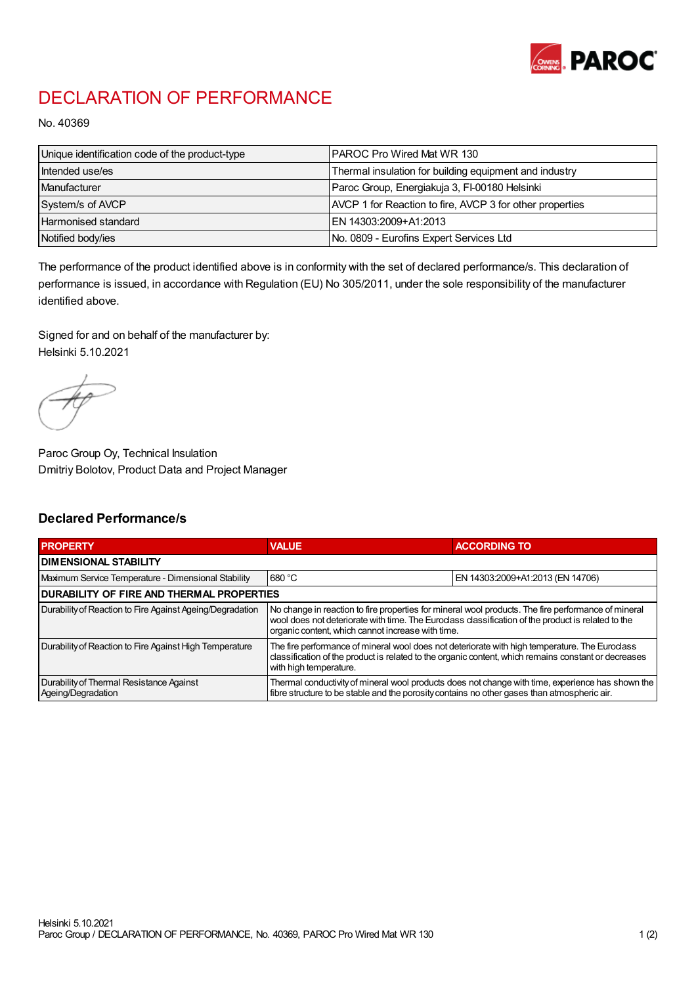

## DECLARATION OF PERFORMANCE

No. 40369

| Unique identification code of the product-type | IPAROC Pro Wired Mat WR 130                              |
|------------------------------------------------|----------------------------------------------------------|
| Intended use/es                                | Thermal insulation for building equipment and industry   |
| Manufacturer                                   | Paroc Group, Energiakuja 3, FI-00180 Helsinki            |
| System/s of AVCP                               | AVCP 1 for Reaction to fire, AVCP 3 for other properties |
| Harmonised standard                            | IEN 14303:2009+A1:2013                                   |
| Notified body/ies                              | No. 0809 - Eurofins Expert Services Ltd                  |

The performance of the product identified above is in conformity with the set of declared performance/s. This declaration of performance is issued, in accordance with Regulation (EU) No 305/2011, under the sole responsibility of the manufacturer identified above.

Signed for and on behalf of the manufacturer by: Helsinki 5.10.2021

Paroc Group Oy, Technical Insulation Dmitriy Bolotov, Product Data and Project Manager

## Declared Performance/s

| <b>PROPERTY</b>                                                | <b>VALUE</b>                                                                                                                                                                                                                                                   | <b>ACCORDING TO.</b>             |  |
|----------------------------------------------------------------|----------------------------------------------------------------------------------------------------------------------------------------------------------------------------------------------------------------------------------------------------------------|----------------------------------|--|
| <b>DIMENSIONAL STABILITY</b>                                   |                                                                                                                                                                                                                                                                |                                  |  |
| Maximum Service Temperature - Dimensional Stability            | 680 °C                                                                                                                                                                                                                                                         | EN 14303:2009+A1:2013 (EN 14706) |  |
| <b>DURABILITY OF FIRE AND THERMAL PROPERTIES</b>               |                                                                                                                                                                                                                                                                |                                  |  |
| Durability of Reaction to Fire Against Ageing/Degradation      | No change in reaction to fire properties for mineral wool products. The fire performance of mineral<br>wool does not deteriorate with time. The Euroclass classification of the product is related to the<br>organic content, which cannot increase with time. |                                  |  |
| Durability of Reaction to Fire Against High Temperature        | The fire performance of mineral wool does not deteriorate with high temperature. The Euroclass<br>classification of the product is related to the organic content, which remains constant or decreases<br>with high temperature.                               |                                  |  |
| Durability of Thermal Resistance Against<br>Ageing/Degradation | Thermal conductivity of mineral wool products does not change with time, experience has shown the<br>fibre structure to be stable and the porosity contains no other gases than atmospheric air.                                                               |                                  |  |